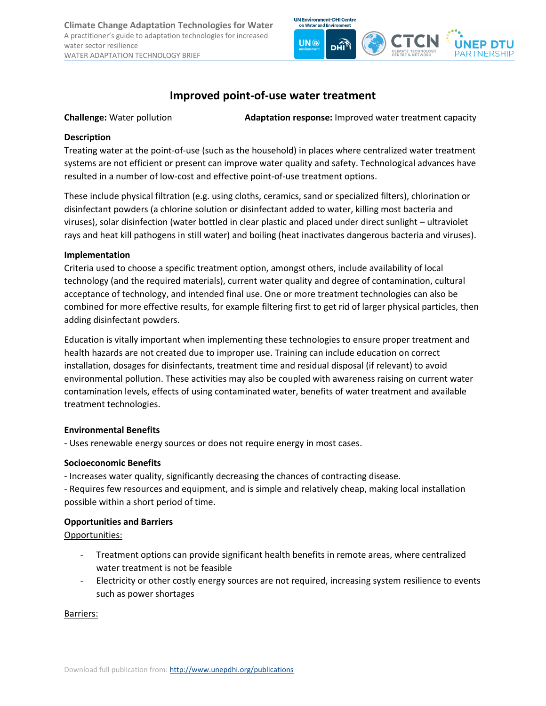**Climate Change Adaptation Technologies for Water** A practitioner's guide to adaptation technologies for increased water sector resilience WATER ADAPTATION TECHNOLOGY BRIEF



# **Improved point-of-use water treatment**

**Challenge:** Water pollution **Adaptation response:** Improved water treatment capacity

### **Description**

Treating water at the point-of-use (such as the household) in places where centralized water treatment systems are not efficient or present can improve water quality and safety. Technological advances have resulted in a number of low-cost and effective point-of-use treatment options.

These include physical filtration (e.g. using cloths, ceramics, sand or specialized filters), chlorination or disinfectant powders (a chlorine solution or disinfectant added to water, killing most bacteria and viruses), solar disinfection (water bottled in clear plastic and placed under direct sunlight – ultraviolet rays and heat kill pathogens in still water) and boiling (heat inactivates dangerous bacteria and viruses).

## **Implementation**

Criteria used to choose a specific treatment option, amongst others, include availability of local technology (and the required materials), current water quality and degree of contamination, cultural acceptance of technology, and intended final use. One or more treatment technologies can also be combined for more effective results, for example filtering first to get rid of larger physical particles, then adding disinfectant powders.

Education is vitally important when implementing these technologies to ensure proper treatment and health hazards are not created due to improper use. Training can include education on correct installation, dosages for disinfectants, treatment time and residual disposal (if relevant) to avoid environmental pollution. These activities may also be coupled with awareness raising on current water contamination levels, effects of using contaminated water, benefits of water treatment and available treatment technologies.

### **Environmental Benefits**

- Uses renewable energy sources or does not require energy in most cases.

### **Socioeconomic Benefits**

- Increases water quality, significantly decreasing the chances of contracting disease.

- Requires few resources and equipment, and is simple and relatively cheap, making local installation possible within a short period of time.

### **Opportunities and Barriers**

Opportunities:

- Treatment options can provide significant health benefits in remote areas, where centralized water treatment is not be feasible
- Electricity or other costly energy sources are not required, increasing system resilience to events such as power shortages

Barriers: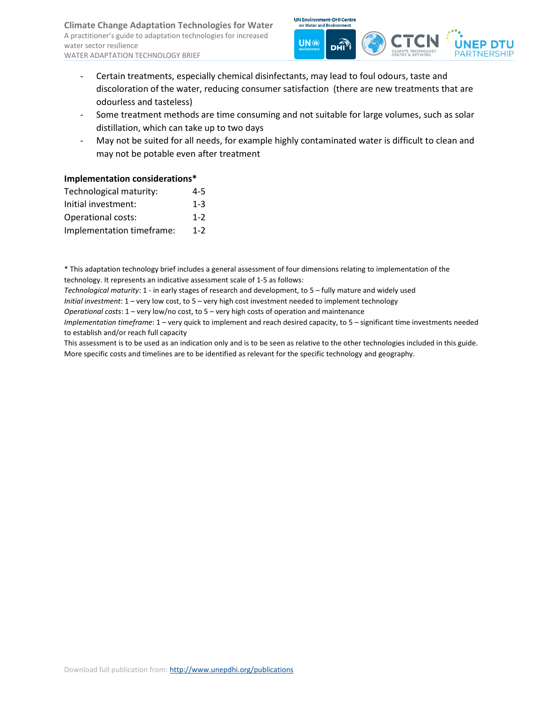

- Certain treatments, especially chemical disinfectants, may lead to foul odours, taste and discoloration of the water, reducing consumer satisfaction (there are new treatments that are odourless and tasteless)
- Some treatment methods are time consuming and not suitable for large volumes, such as solar distillation, which can take up to two days
- May not be suited for all needs, for example highly contaminated water is difficult to clean and may not be potable even after treatment

### **Implementation considerations\***

| Technological maturity:   | 4-5     |
|---------------------------|---------|
| Initial investment:       | $1 - 3$ |
| Operational costs:        | $1 - 2$ |
| Implementation timeframe: | $1 - 2$ |

\* This adaptation technology brief includes a general assessment of four dimensions relating to implementation of the technology. It represents an indicative assessment scale of 1-5 as follows:

*Technological maturity*: 1 - in early stages of research and development, to 5 – fully mature and widely used

*Initial investment*: 1 – very low cost, to 5 – very high cost investment needed to implement technology

*Operational costs*: 1 – very low/no cost, to 5 – very high costs of operation and maintenance

*Implementation timeframe*: 1 – very quick to implement and reach desired capacity, to 5 – significant time investments needed to establish and/or reach full capacity

This assessment is to be used as an indication only and is to be seen as relative to the other technologies included in this guide. More specific costs and timelines are to be identified as relevant for the specific technology and geography.